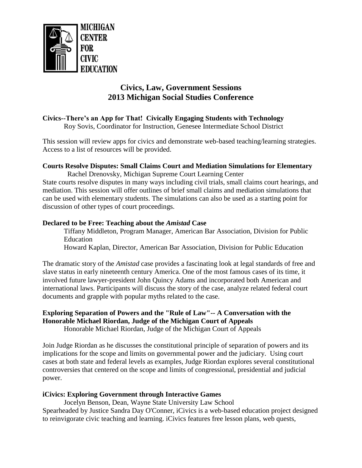

# **Civics, Law, Government Sessions 2013 Michigan Social Studies Conference**

# **Civics--There's an App for That! Civically Engaging Students with Technology**

Roy Sovis, Coordinator for Instruction, Genesee Intermediate School District

This session will review apps for civics and demonstrate web-based teaching/learning strategies. Access to a list of resources will be provided.

#### **Courts Resolve Disputes: Small Claims Court and Mediation Simulations for Elementary**

 Rachel Drenovsky, Michigan Supreme Court Learning Center State courts resolve disputes in many ways including civil trials, small claims court hearings, and mediation. This session will offer outlines of brief small claims and mediation simulations that can be used with elementary students. The simulations can also be used as a starting point for discussion of other types of court proceedings.

#### **Declared to be Free: Teaching about the** *Amistad* **Case**

Tiffany Middleton, Program Manager, American Bar Association, Division for Public Education

Howard Kaplan, Director, American Bar Association, Division for Public Education

The dramatic story of the *Amistad* case provides a fascinating look at legal standards of free and slave status in early nineteenth century America. One of the most famous cases of its time, it involved future lawyer-president John Quincy Adams and incorporated both American and international laws. Participants will discuss the story of the case, analyze related federal court documents and grapple with popular myths related to the case.

# **Exploring Separation of Powers and the "Rule of Law"-- A Conversation with the Honorable Michael Riordan, Judge of the Michigan Court of Appeals**

Honorable Michael Riordan, Judge of the Michigan Court of Appeals

Join Judge Riordan as he discusses the constitutional principle of separation of powers and its implications for the scope and limits on governmental power and the judiciary. Using court cases at both state and federal levels as examples, Judge Riordan explores several constitutional controversies that centered on the scope and limits of congressional, presidential and judicial power.

# **iCivics: Exploring Government through Interactive Games**

Jocelyn Benson, Dean, Wayne State University Law School Spearheaded by Justice Sandra Day O'Conner, iCivics is a web-based education project designed to reinvigorate civic teaching and learning. iCivics features free lesson plans, web quests,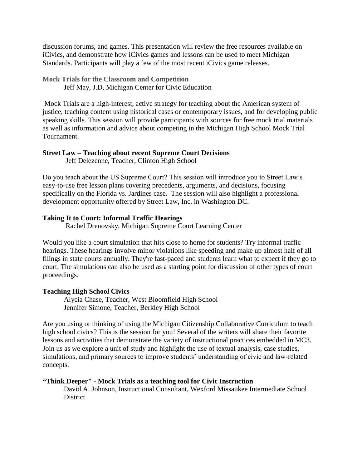discussion forums, and games. This presentation will review the free resources available on iCivics, and demonstrate how iCivics games and lessons can be used to meet Michigan Standards. Participants will play a few of the most recent iCivics game releases.

**Mock Trials for the Classroom and Competition** Jeff May, J.D, Michigan Center for Civic Education

Mock Trials are a high-interest, active strategy for teaching about the American system of justice, teaching content using historical cases or contemporary issues, and for developing public speaking skills. This session will provide participants with sources for free mock trial materials as well as information and advice about competing in the Michigan High School Mock Trial Tournament.

#### **Street Law – Teaching about recent Supreme Court Decisions**

Jeff Delezenne, Teacher, Clinton High School

Do you teach about the US Supreme Court? This session will introduce you to Street Law's easy-to-use free lesson plans covering precedents, arguments, and decisions, focusing specifically on the Florida vs. Jardines case. The session will also highlight a professional development opportunity offered by Street Law, Inc. in Washington DC.

# **Taking It to Court: Informal Traffic Hearings**

Rachel Drenovsky, Michigan Supreme Court Learning Center

Would you like a court simulation that hits close to home for students? Try informal traffic hearings. These hearings involve minor violations like speeding and make up almost half of all filings in state courts annually. They're fast-paced and students learn what to expect if they go to court. The simulations can also be used as a starting point for discussion of other types of court proceedings.

# **Teaching High School Civics**

Alycia Chase, Teacher, West Bloomfield High School Jennifer Simone, Teacher, Berkley High School

Are you using or thinking of using the Michigan Citizenship Collaborative Curriculum to teach high school civics? This is the session for you! Several of the writers will share their favorite lessons and activities that demonstrate the variety of instructional practices embedded in MC3. Join us as we explore a unit of study and highlight the use of textual analysis, case studies, simulations, and primary sources to improve students' understanding of civic and law-related concepts.

# **"Think Deeper" - Mock Trials as a teaching tool for Civic Instruction**

David A. Johnson, Instructional Consultant, Wexford Missaukee Intermediate School District